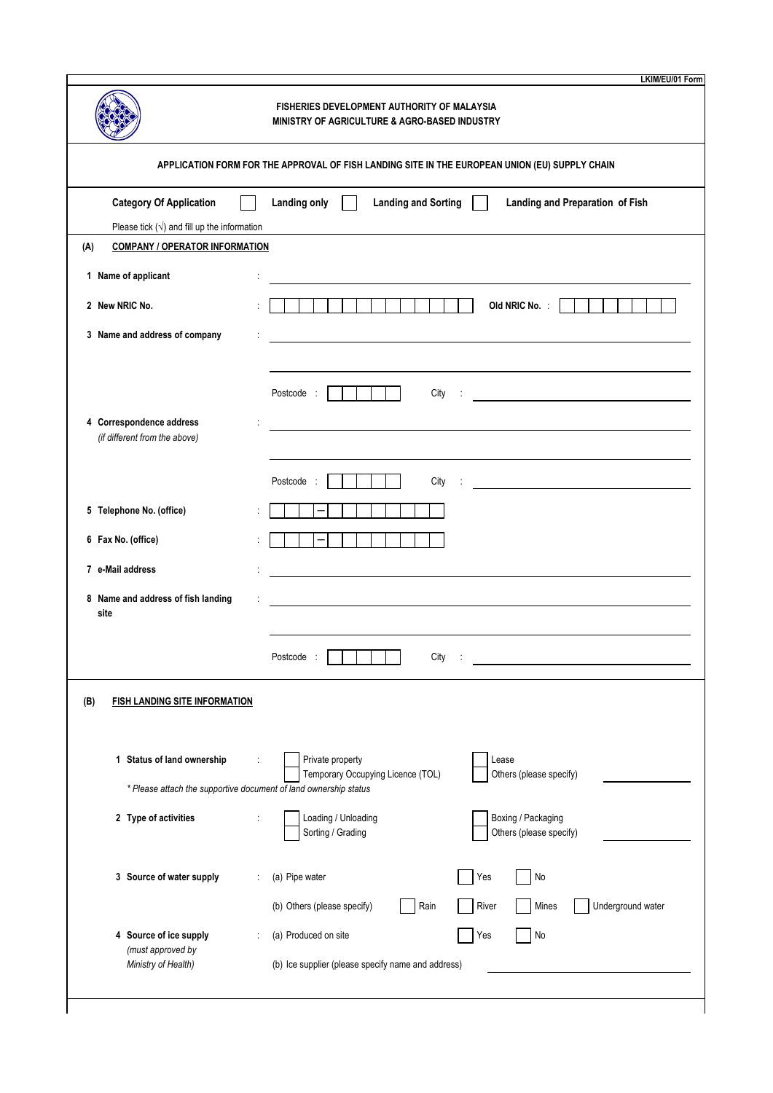|                                                                                                | FISHERIES DEVELOPMENT AUTHORITY OF MALAYSIA<br>MINISTRY OF AGRICULTURE & AGRO-BASED INDUSTRY              |  |  |  |
|------------------------------------------------------------------------------------------------|-----------------------------------------------------------------------------------------------------------|--|--|--|
| APPLICATION FORM FOR THE APPROVAL OF FISH LANDING SITE IN THE EUROPEAN UNION (EU) SUPPLY CHAIN |                                                                                                           |  |  |  |
| <b>Category Of Application</b>                                                                 | Landing only<br><b>Landing and Sorting</b><br>Landing and Preparation of Fish                             |  |  |  |
| Please tick $(\sqrt{})$ and fill up the information                                            |                                                                                                           |  |  |  |
| (A)<br><b>COMPANY / OPERATOR INFORMATION</b>                                                   |                                                                                                           |  |  |  |
| 1 Name of applicant                                                                            |                                                                                                           |  |  |  |
| 2 New NRIC No.                                                                                 | Old NRIC No. :<br>$\mathcal{L}(\mathcal{A})$                                                              |  |  |  |
| 3 Name and address of company                                                                  |                                                                                                           |  |  |  |
|                                                                                                | Postcode :<br>City<br><u> 1989 - Johann Barbara, martin amerikan ba</u>                                   |  |  |  |
| 4 Correspondence address<br>(if different from the above)                                      | <u> 1980 - John Stein, Amerikaansk politiker (</u>                                                        |  |  |  |
| 5 Telephone No. (office)                                                                       | Postcode<br>City                                                                                          |  |  |  |
| 6 Fax No. (office)                                                                             | $\qquad \qquad -$                                                                                         |  |  |  |
| 7 e-Mail address                                                                               |                                                                                                           |  |  |  |
| 8 Name and address of fish landing<br>site                                                     |                                                                                                           |  |  |  |
|                                                                                                | City<br>Postcode                                                                                          |  |  |  |
| (B)<br><b>FISH LANDING SITE INFORMATION</b>                                                    |                                                                                                           |  |  |  |
| 1 Status of land ownership<br>* Please attach the supportive document of land ownership status | Private property<br>Lease<br>Temporary Occupying Licence (TOL)<br>Others (please specify)                 |  |  |  |
| 2 Type of activities                                                                           | Loading / Unloading<br>Boxing / Packaging<br>Sorting / Grading<br>Others (please specify)                 |  |  |  |
| 3 Source of water supply                                                                       | (a) Pipe water<br>Yes<br>No<br>River<br>Underground water<br>(b) Others (please specify)<br>Rain<br>Mines |  |  |  |
| 4 Source of ice supply                                                                         | (a) Produced on site<br>Yes<br>No                                                                         |  |  |  |
| (must approved by<br>Ministry of Health)                                                       | (b) Ice supplier (please specify name and address)                                                        |  |  |  |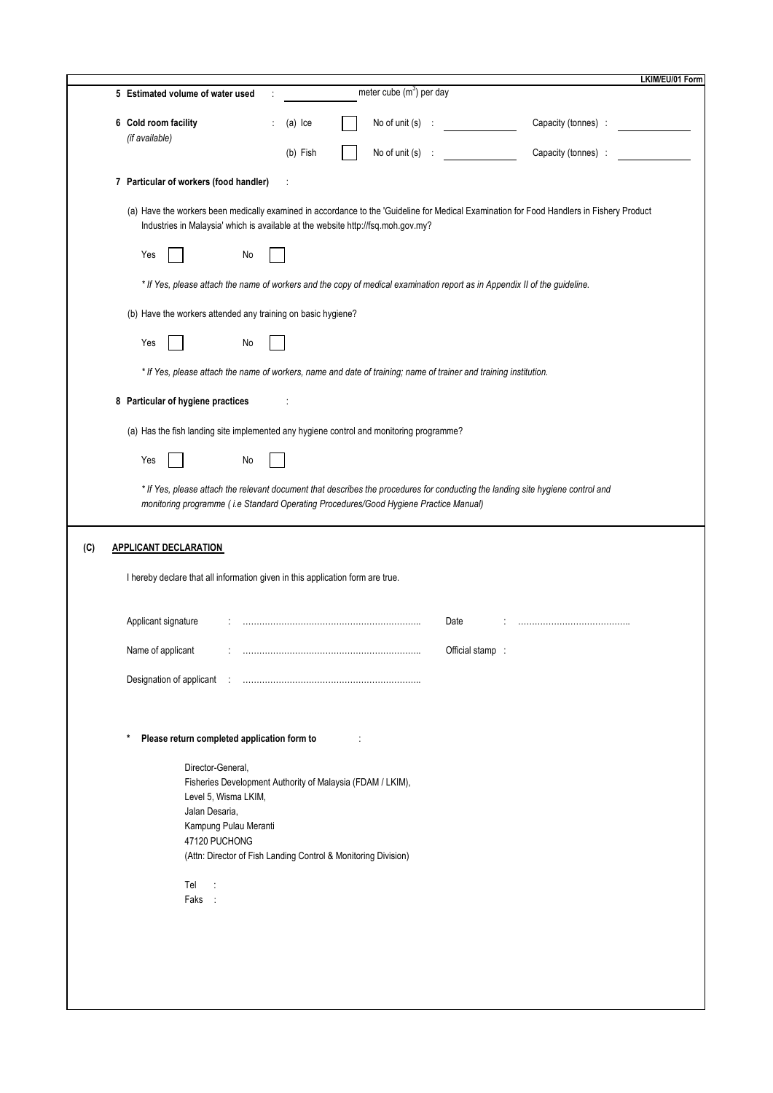|     |                                                                                                                                                                                                                               | LKIM/EU/01 Form |  |  |  |
|-----|-------------------------------------------------------------------------------------------------------------------------------------------------------------------------------------------------------------------------------|-----------------|--|--|--|
|     | meter cube $(m^3)$ per day<br>5 Estimated volume of water used                                                                                                                                                                |                 |  |  |  |
|     | 6 Cold room facility<br>Capacity (tonnes) :<br>No of unit $(s)$ :<br>(a) Ice<br>(if available)                                                                                                                                |                 |  |  |  |
|     | No of unit $(s)$ :<br>Capacity (tonnes) :<br>(b) Fish                                                                                                                                                                         |                 |  |  |  |
|     | 7 Particular of workers (food handler)                                                                                                                                                                                        |                 |  |  |  |
|     | (a) Have the workers been medically examined in accordance to the 'Guideline for Medical Examination for Food Handlers in Fishery Product<br>Industries in Malaysia' which is available at the website http://fsq.moh.gov.my? |                 |  |  |  |
|     | Yes<br>No                                                                                                                                                                                                                     |                 |  |  |  |
|     | * If Yes, please attach the name of workers and the copy of medical examination report as in Appendix II of the guideline.                                                                                                    |                 |  |  |  |
|     | (b) Have the workers attended any training on basic hygiene?                                                                                                                                                                  |                 |  |  |  |
|     | Yes<br>No                                                                                                                                                                                                                     |                 |  |  |  |
|     | * If Yes, please attach the name of workers, name and date of training; name of trainer and training institution.                                                                                                             |                 |  |  |  |
|     | 8 Particular of hygiene practices                                                                                                                                                                                             |                 |  |  |  |
|     | (a) Has the fish landing site implemented any hygiene control and monitoring programme?                                                                                                                                       |                 |  |  |  |
|     | Yes<br>No                                                                                                                                                                                                                     |                 |  |  |  |
|     | * If Yes, please attach the relevant document that describes the procedures for conducting the landing site hygiene control and                                                                                               |                 |  |  |  |
|     | monitoring programme (i.e Standard Operating Procedures/Good Hygiene Practice Manual)                                                                                                                                         |                 |  |  |  |
|     |                                                                                                                                                                                                                               |                 |  |  |  |
| (C) | <b>APPLICANT DECLARATION</b>                                                                                                                                                                                                  |                 |  |  |  |
|     | I hereby declare that all information given in this application form are true.                                                                                                                                                |                 |  |  |  |
|     | Applicant signature<br>Date                                                                                                                                                                                                   |                 |  |  |  |
|     | Name of applicant<br>Official stamp                                                                                                                                                                                           |                 |  |  |  |
|     |                                                                                                                                                                                                                               |                 |  |  |  |
|     |                                                                                                                                                                                                                               |                 |  |  |  |
|     | Please return completed application form to<br>*                                                                                                                                                                              |                 |  |  |  |
|     |                                                                                                                                                                                                                               |                 |  |  |  |
|     | Director-General,<br>Fisheries Development Authority of Malaysia (FDAM / LKIM),                                                                                                                                               |                 |  |  |  |
|     | Level 5, Wisma LKIM,                                                                                                                                                                                                          |                 |  |  |  |
|     | Jalan Desaria,                                                                                                                                                                                                                |                 |  |  |  |
|     | Kampung Pulau Meranti<br>47120 PUCHONG                                                                                                                                                                                        |                 |  |  |  |
|     | (Attn: Director of Fish Landing Control & Monitoring Division)                                                                                                                                                                |                 |  |  |  |
|     | Tel<br>$\ddot{\cdot}$                                                                                                                                                                                                         |                 |  |  |  |
|     | Faks :                                                                                                                                                                                                                        |                 |  |  |  |
|     |                                                                                                                                                                                                                               |                 |  |  |  |
|     |                                                                                                                                                                                                                               |                 |  |  |  |
|     |                                                                                                                                                                                                                               |                 |  |  |  |
|     |                                                                                                                                                                                                                               |                 |  |  |  |